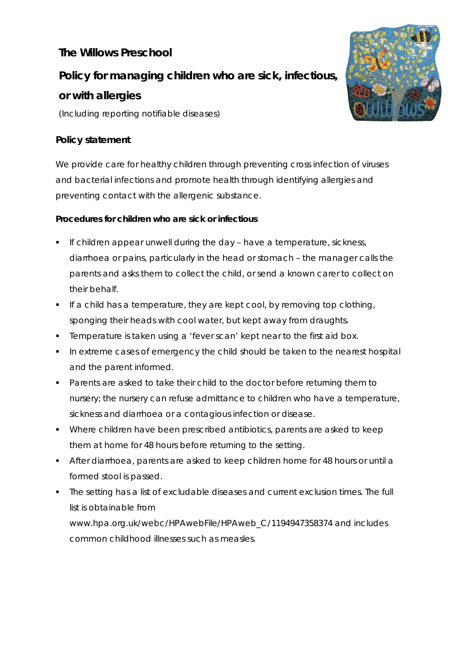## **The Willows Preschool**

# **Policy for managing children who are sick, infectious,**

## **or with allergies**

(Including reporting notifiable diseases)

### **Policy statement**

We provide care for healthy children through preventing cross infection of viruses and bacterial infections and promote health through identifying allergies and preventing contact with the allergenic substance.

### **Procedures for children who are sick or infectious**

- $\blacksquare$  If children appear unwell during the day have a temperature, sickness, diarrhoea or pains, particularly in the head or stomach – the manager calls the parents and asks them to collect the child, or send a known carer to collect on their behalf.
- **If a child has a temperature, they are kept cool, by removing top clothing,** sponging their heads with cool water, but kept away from draughts.
- **Temperature is taken using a 'fever scan' kept near to the first aid box.**
- In extreme cases of emergency the child should be taken to the nearest hospital and the parent informed.
- **Parents are asked to take their child to the doctor before returning them to** nursery; the nursery can refuse admittance to children who have a temperature, sickness and diarrhoea or a contagious infection or disease.
- Where children have been prescribed antibiotics, parents are asked to keep them at home for 48 hours before returning to the setting.
- After diarrhoea, parents are asked to keep children home for 48 hours or until a formed stool is passed.
- The setting has a list of excludable diseases and current exclusion times. The full list is obtainable from www.hpa.org.uk/webc/HPAwebFile/HPAweb\_C/1194947358374 and includes common childhood illnesses such as measles.

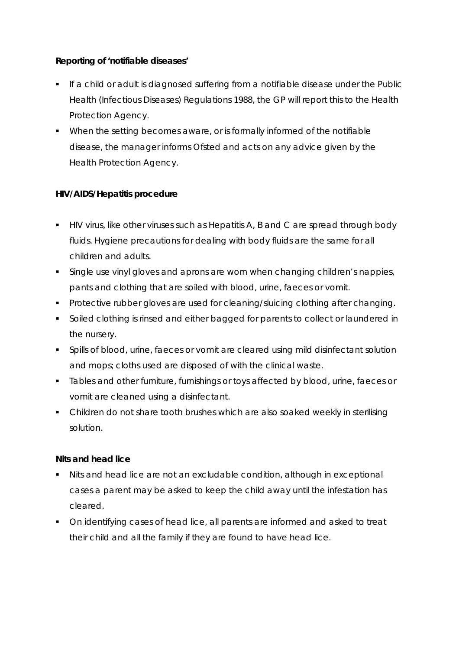#### **Reporting of 'notifiable diseases'**

- If a child or adult is diagnosed suffering from a notifiable disease under the Public Health (Infectious Diseases) Regulations 1988, the GP will report this to the Health Protection Agency.
- When the setting becomes aware, or is formally informed of the notifiable disease, the manager informs Ofsted and acts on any advice given by the Health Protection Agency.

#### **HIV/AIDS/Hepatitis procedure**

- HIV virus, like other viruses such as Hepatitis A, B and C are spread through body fluids. Hygiene precautions for dealing with body fluids are the same for all children and adults.
- Single use vinyl gloves and aprons are worn when changing children's nappies, pants and clothing that are soiled with blood, urine, faeces or vomit.
- **Protective rubber gloves are used for cleaning/sluicing clothing after changing.**
- Soiled clothing is rinsed and either bagged for parents to collect or laundered in the nursery.
- **Spills of blood, urine, faeces or vomit are cleared using mild disinfectant solution** and mops; cloths used are disposed of with the clinical waste.
- **Tables and other furniture, furnishings or toys affected by blood, urine, faeces or** vomit are cleaned using a disinfectant.
- Children do not share tooth brushes which are also soaked weekly in sterilising solution.

#### **Nits and head lice**

- Nits and head lice are not an excludable condition, although in exceptional cases a parent may be asked to keep the child away until the infestation has cleared.
- On identifying cases of head lice, all parents are informed and asked to treat their child and all the family if they are found to have head lice.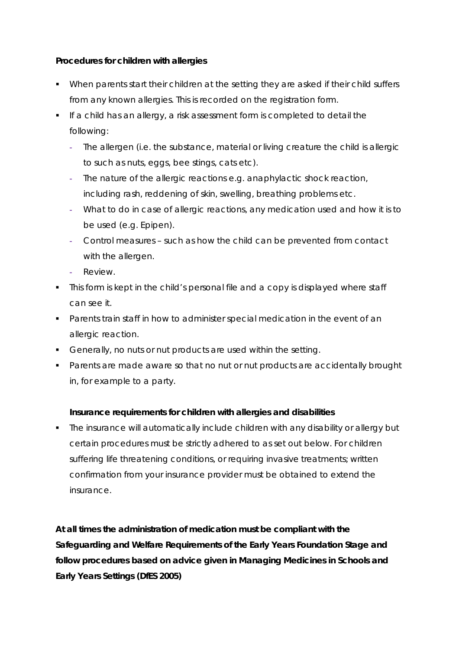#### **Procedures for children with allergies**

- When parents start their children at the setting they are asked if their child suffers from any known allergies. This is recorded on the registration form.
- If a child has an allergy, a risk assessment form is completed to detail the following:
	- **-** The allergen (i.e. the substance, material or living creature the child is allergic to such as nuts, eggs, bee stings, cats etc).
	- **-** The nature of the allergic reactions e.g. anaphylactic shock reaction, including rash, reddening of skin, swelling, breathing problems etc.
	- **-** What to do in case of allergic reactions, any medication used and how it is to be used (e.g. Epipen).
	- **-** Control measures such as how the child can be prevented from contact with the allergen.
	- **-** Review.
- This form is kept in the child's personal file and a copy is displayed where staff can see it.
- Parents train staff in how to administer special medication in the event of an allergic reaction.
- Generally, no nuts or nut products are used within the setting.
- **Parents are made aware so that no nut or nut products are accidentally brought** in, for example to a party.

#### **Insurance requirements for children with allergies and disabilities**

 The insurance will automatically include children with any disability or allergy but certain procedures must be strictly adhered to as set out below. For children suffering life threatening conditions, or requiring invasive treatments; written confirmation from your insurance provider must be obtained to extend the insurance.

**At all times the administration of medication must be compliant with the Safeguarding and Welfare Requirements of the Early Years Foundation Stage and follow procedures based on advice given in** *Managing Medicines in Schools and Early Years Settings* **(DfES 2005)**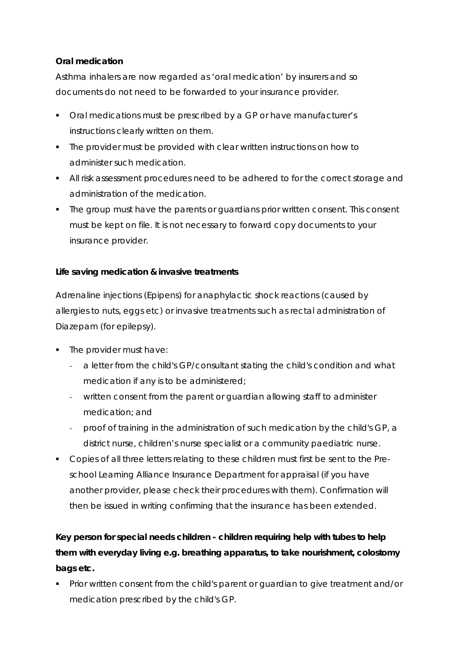#### **Oral medication**

Asthma inhalers are now regarded as 'oral medication' by insurers and so documents do not need to be forwarded to your insurance provider.

- Oral medications must be prescribed by a GP or have manufacturer's instructions clearly written on them.
- The provider must be provided with clear written instructions on how to administer such medication.
- All risk assessment procedures need to be adhered to for the correct storage and administration of the medication.
- The group must have the parents or guardians prior written consent. This consent must be kept on file. It is not necessary to forward copy documents to your insurance provider.

#### **Life saving medication & invasive treatments**

Adrenaline injections (Epipens) for anaphylactic shock reactions (caused by allergies to nuts, eggs etc) or invasive treatments such as rectal administration of Diazepam (for epilepsy).

- The provider must have:
	- **-** a letter from the child's GP/consultant stating the child's condition and what medication if any is to be administered;
	- **-** written consent from the parent or guardian allowing staff to administer medication; and
	- **-** proof of training in the administration of such medication by the child's GP, a district nurse, children's nurse specialist or a community paediatric nurse.
- Copies of all three letters relating to these children must first be sent to the Preschool Learning Alliance Insurance Department for appraisal (if you have another provider, please check their procedures with them). Confirmation will then be issued in writing confirming that the insurance has been extended.

# **Key person for special needs children - children requiring help with tubes to help them with everyday living e.g. breathing apparatus, to take nourishment, colostomy bags etc.**

**Prior written consent from the child's parent or guardian to give treatment and/or** medication prescribed by the child's GP.